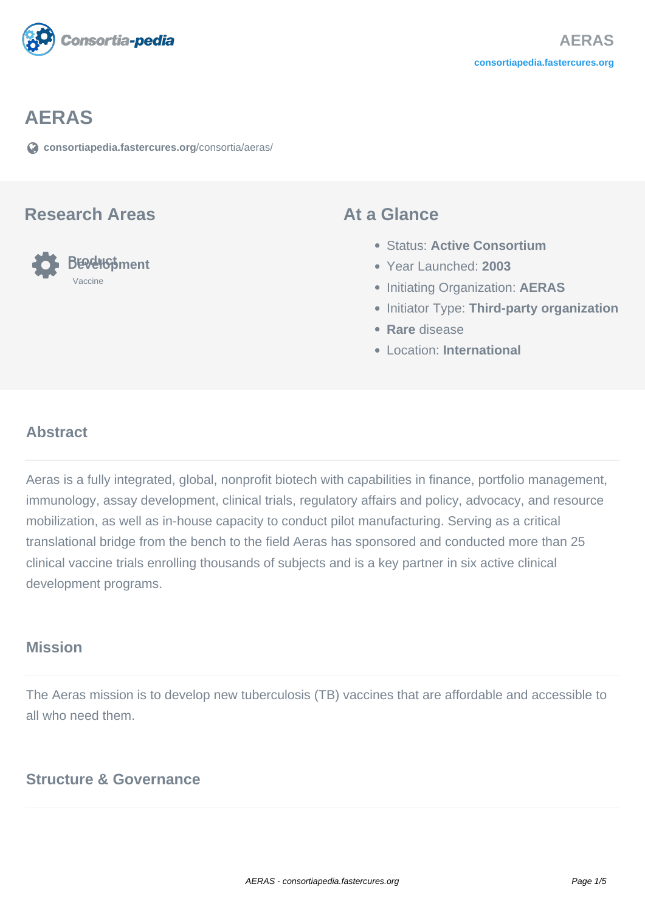

# **AERAS**

**[consortiapedia.fastercures.org](https://consortiapedia.fastercures.org/consortia/aeras/)**[/consortia/aeras/](https://consortiapedia.fastercures.org/consortia/aeras/)

#### **Research Areas**



#### **At a Glance**

- Status: **Active Consortium**
- Year Launched: **2003**
- **Initiating Organization: AERAS**
- **Initiator Type: Third-party organization**
- **Rare** disease
- Location: **International**

#### $\overline{a}$ **Abstract**

Aeras is a fully integrated, global, nonprofit biotech with capabilities in finance, portfolio management, immunology, assay development, clinical trials, regulatory affairs and policy, advocacy, and resource mobilization, as well as in-house capacity to conduct pilot manufacturing. Serving as a critical translational bridge from the bench to the field Aeras has sponsored and conducted more than 25 clinical vaccine trials enrolling thousands of subjects and is a key partner in six active clinical development programs.

## **Mission**

The Aeras mission is to develop new tuberculosis (TB) vaccines that are affordable and accessible to all who need them.

## **Structure & Governance**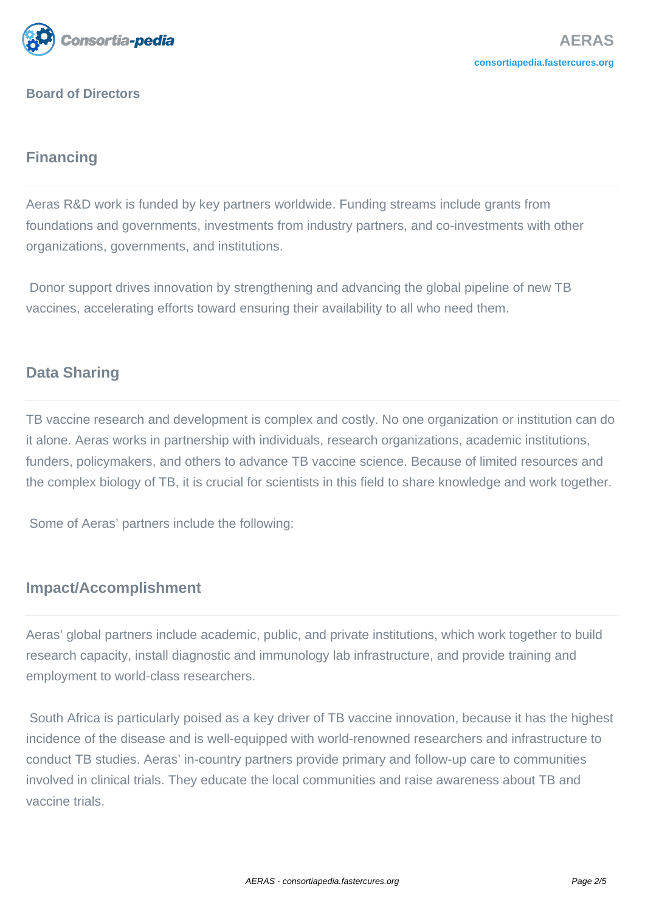

**Board of Directors**

# **Financing**

Aeras R&D work is funded by key partners worldwide. Funding streams include grants from foundations and governments, investments from industry partners, and co-investments with other organizations, governments, and institutions.

 Donor support drives innovation by strengthening and advancing the global pipeline of new TB vaccines, accelerating efforts toward ensuring their availability to all who need them.

# **Data Sharing**

TB vaccine research and development is complex and costly. No one organization or institution can do it alone. Aeras works in partnership with individuals, research organizations, academic institutions, funders, policymakers, and others to advance TB vaccine science. Because of limited resources and the complex biology of TB, it is crucial for scientists in this field to share knowledge and work together.

Some of Aeras' partners include the following:

# **Impact/Accomplishment**

Aeras' global partners include academic, public, and private institutions, which work together to build research capacity, install diagnostic and immunology lab infrastructure, and provide training and employment to world-class researchers.

 South Africa is particularly poised as a key driver of TB vaccine innovation, because it has the highest incidence of the disease and is well-equipped with world-renowned researchers and infrastructure to conduct TB studies. Aeras' in-country partners provide primary and follow-up care to communities involved in clinical trials. They educate the local communities and raise awareness about TB and vaccine trials.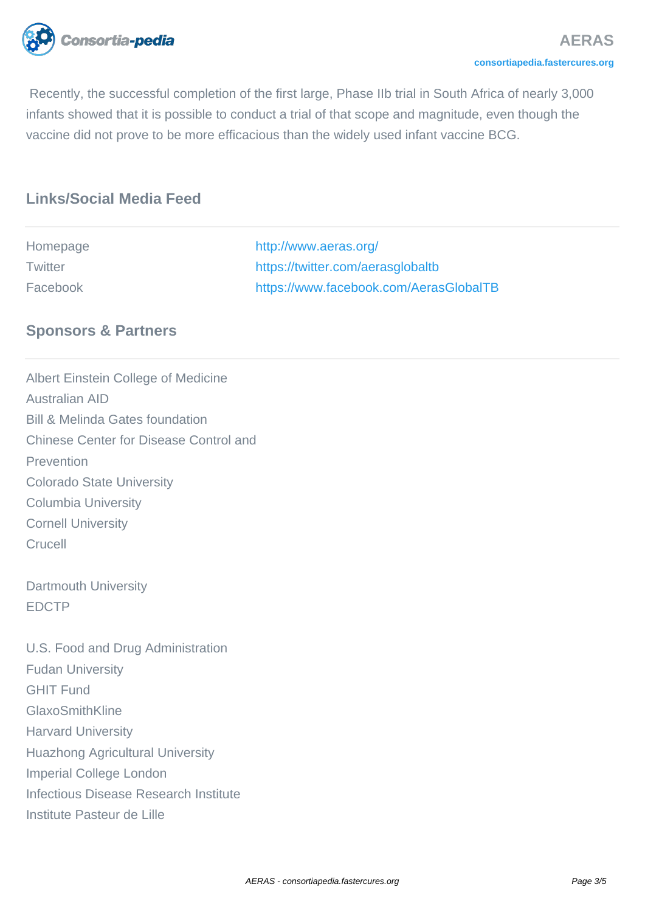

 Recently, the successful completion of the first large, Phase IIb trial in South Africa of nearly 3,000 infants showed that it is possible to conduct a trial of that scope and magnitude, even though the vaccine did not prove to be more efficacious than the widely used infant vaccine BCG.

# **Links/Social Media Feed**

| Homepage | http://www.aeras.org/                  |
|----------|----------------------------------------|
| Twitter  | https://twitter.com/aerasglobaltb      |
| Facebook | https://www.facebook.com/AerasGlobalTB |

#### **Sponsors & Partners**

Albert Einstein College of Medicine Australian AID Bill & Melinda Gates foundation Chinese Center for Disease Control and Prevention Colorado State University Columbia University Cornell University Crucell Dartmouth University EDCTP U.S. Food and Drug Administration Fudan University GHIT Fund GlaxoSmithKline Harvard University Huazhong Agricultural University Imperial College London Infectious Disease Research Institute Institute Pasteur de Lille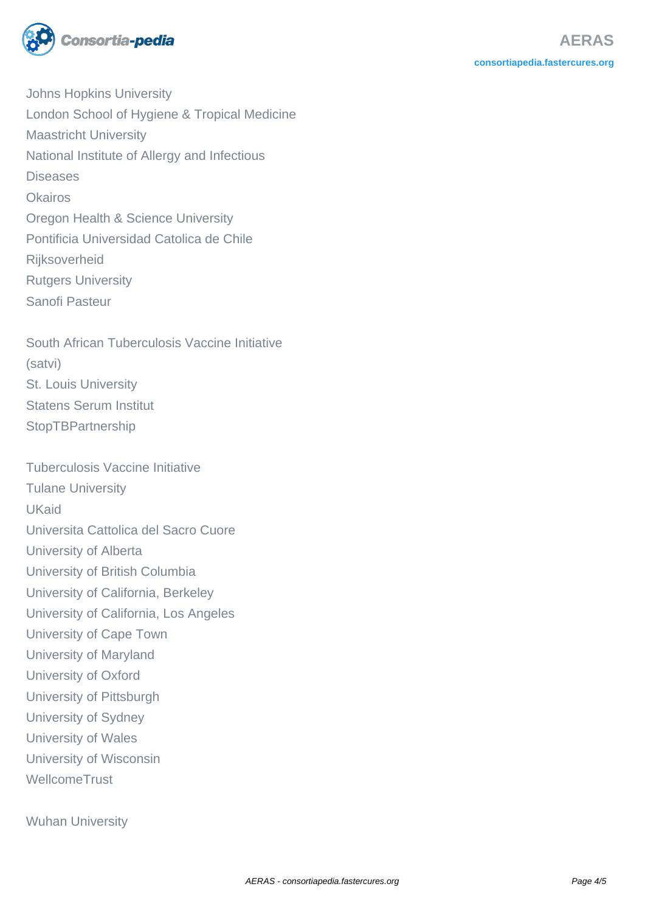

Johns Hopkins University London School of Hygiene & Tropical Medicine Maastricht University National Institute of Allergy and Infectious Diseases **Okairos** Oregon Health & Science University Pontificia Universidad Catolica de Chile **Rijksoverheid** Rutgers University Sanofi Pasteur

South African Tuberculosis Vaccine Initiative (satvi) St. Louis University Statens Serum Institut **StopTBPartnership** 

Tuberculosis Vaccine Initiative Tulane University UKaid Universita Cattolica del Sacro Cuore University of Alberta University of British Columbia University of California, Berkeley University of California, Los Angeles University of Cape Town University of Maryland University of Oxford University of Pittsburgh University of Sydney University of Wales University of Wisconsin **WellcomeTrust** 

Wuhan University